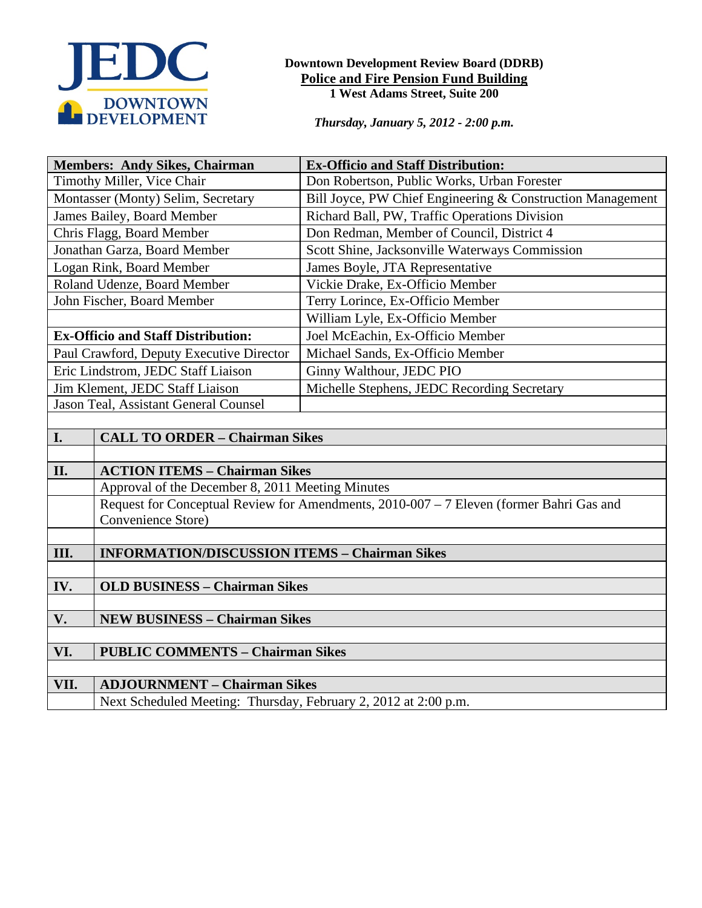

### **Downtown Development Review Board (DDRB) Police and Fire Pension Fund Building 1 West Adams Street, Suite 200**

*Thursday, January 5, 2012 - 2:00 p.m.*

| <b>Members: Andy Sikes, Chairman</b>      |                                                                                         | <b>Ex-Officio and Staff Distribution:</b>                  |
|-------------------------------------------|-----------------------------------------------------------------------------------------|------------------------------------------------------------|
| Timothy Miller, Vice Chair                |                                                                                         | Don Robertson, Public Works, Urban Forester                |
| Montasser (Monty) Selim, Secretary        |                                                                                         | Bill Joyce, PW Chief Engineering & Construction Management |
| James Bailey, Board Member                |                                                                                         | Richard Ball, PW, Traffic Operations Division              |
| Chris Flagg, Board Member                 |                                                                                         | Don Redman, Member of Council, District 4                  |
| Jonathan Garza, Board Member              |                                                                                         | Scott Shine, Jacksonville Waterways Commission             |
| Logan Rink, Board Member                  |                                                                                         | James Boyle, JTA Representative                            |
| Roland Udenze, Board Member               |                                                                                         | Vickie Drake, Ex-Officio Member                            |
| John Fischer, Board Member                |                                                                                         | Terry Lorince, Ex-Officio Member                           |
|                                           |                                                                                         | William Lyle, Ex-Officio Member                            |
| <b>Ex-Officio and Staff Distribution:</b> |                                                                                         | Joel McEachin, Ex-Officio Member                           |
| Paul Crawford, Deputy Executive Director  |                                                                                         | Michael Sands, Ex-Officio Member                           |
| Eric Lindstrom, JEDC Staff Liaison        |                                                                                         | Ginny Walthour, JEDC PIO                                   |
| Jim Klement, JEDC Staff Liaison           |                                                                                         | Michelle Stephens, JEDC Recording Secretary                |
| Jason Teal, Assistant General Counsel     |                                                                                         |                                                            |
|                                           |                                                                                         |                                                            |
| I.                                        | <b>CALL TO ORDER - Chairman Sikes</b>                                                   |                                                            |
|                                           |                                                                                         |                                                            |
| II.                                       | <b>ACTION ITEMS - Chairman Sikes</b>                                                    |                                                            |
|                                           | Approval of the December 8, 2011 Meeting Minutes                                        |                                                            |
|                                           | Request for Conceptual Review for Amendments, 2010-007 - 7 Eleven (former Bahri Gas and |                                                            |
|                                           | Convenience Store)                                                                      |                                                            |
| III.                                      | <b>INFORMATION/DISCUSSION ITEMS - Chairman Sikes</b>                                    |                                                            |
|                                           |                                                                                         |                                                            |
| IV.                                       | <b>OLD BUSINESS - Chairman Sikes</b>                                                    |                                                            |
|                                           |                                                                                         |                                                            |
| V.                                        | <b>NEW BUSINESS - Chairman Sikes</b>                                                    |                                                            |
|                                           |                                                                                         |                                                            |
| VI.                                       | <b>PUBLIC COMMENTS - Chairman Sikes</b>                                                 |                                                            |
|                                           |                                                                                         |                                                            |
| VII.                                      | <b>ADJOURNMENT - Chairman Sikes</b>                                                     |                                                            |
|                                           | Next Scheduled Meeting: Thursday, February 2, 2012 at 2:00 p.m.                         |                                                            |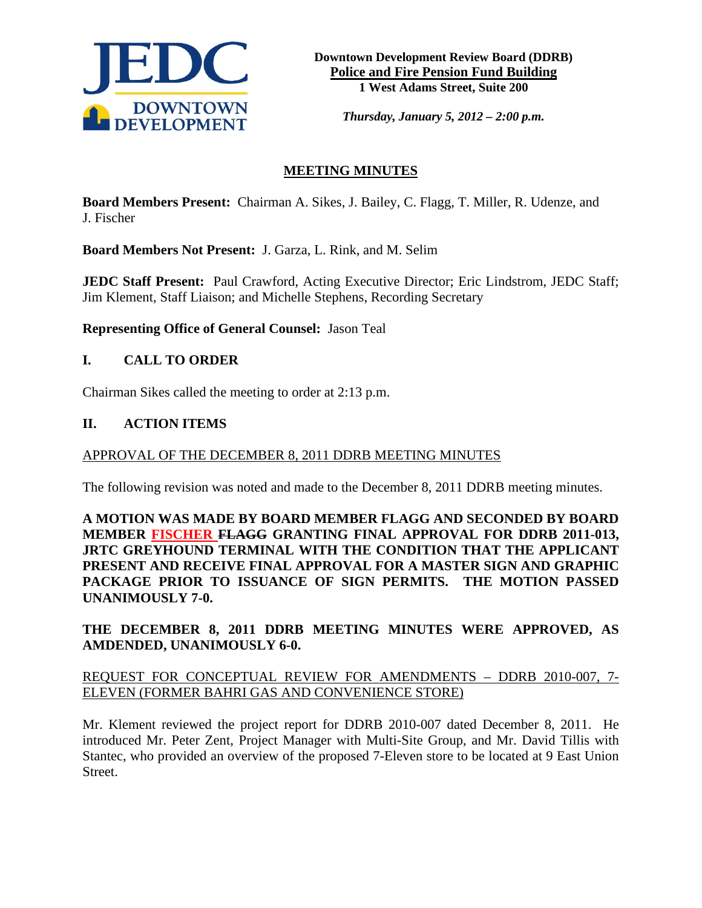

*Thursday, January 5, 2012 – 2:00 p.m.*

# **MEETING MINUTES**

**Board Members Present:** Chairman A. Sikes, J. Bailey, C. Flagg, T. Miller, R. Udenze, and J. Fischer

**Board Members Not Present:** J. Garza, L. Rink, and M. Selim

**JEDC Staff Present:** Paul Crawford, Acting Executive Director; Eric Lindstrom, JEDC Staff; Jim Klement, Staff Liaison; and Michelle Stephens, Recording Secretary

**Representing Office of General Counsel:** Jason Teal

### **I. CALL TO ORDER**

Chairman Sikes called the meeting to order at 2:13 p.m.

### **II. ACTION ITEMS**

#### APPROVAL OF THE DECEMBER 8, 2011 DDRB MEETING MINUTES

The following revision was noted and made to the December 8, 2011 DDRB meeting minutes.

**A MOTION WAS MADE BY BOARD MEMBER FLAGG AND SECONDED BY BOARD MEMBER FISCHER FLAGG GRANTING FINAL APPROVAL FOR DDRB 2011-013, JRTC GREYHOUND TERMINAL WITH THE CONDITION THAT THE APPLICANT PRESENT AND RECEIVE FINAL APPROVAL FOR A MASTER SIGN AND GRAPHIC PACKAGE PRIOR TO ISSUANCE OF SIGN PERMITS. THE MOTION PASSED UNANIMOUSLY 7-0.** 

# **THE DECEMBER 8, 2011 DDRB MEETING MINUTES WERE APPROVED, AS AMDENDED, UNANIMOUSLY 6-0.**

# REQUEST FOR CONCEPTUAL REVIEW FOR AMENDMENTS – DDRB 2010-007, 7- ELEVEN (FORMER BAHRI GAS AND CONVENIENCE STORE)

Mr. Klement reviewed the project report for DDRB 2010-007 dated December 8, 2011. He introduced Mr. Peter Zent, Project Manager with Multi-Site Group, and Mr. David Tillis with Stantec, who provided an overview of the proposed 7-Eleven store to be located at 9 East Union Street.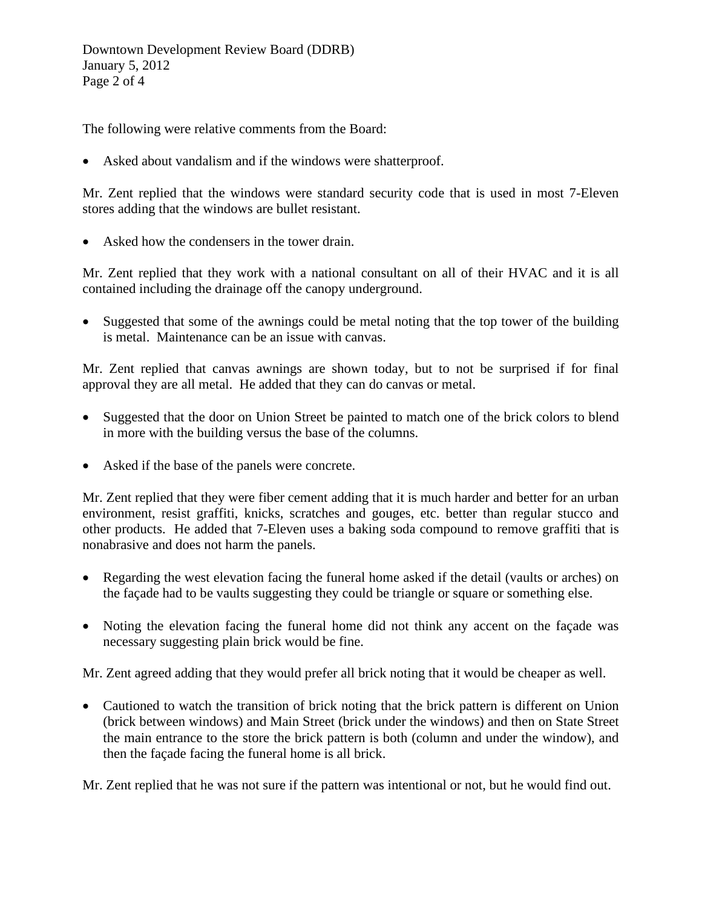The following were relative comments from the Board:

• Asked about vandalism and if the windows were shatterproof.

Mr. Zent replied that the windows were standard security code that is used in most 7-Eleven stores adding that the windows are bullet resistant.

• Asked how the condensers in the tower drain.

Mr. Zent replied that they work with a national consultant on all of their HVAC and it is all contained including the drainage off the canopy underground.

• Suggested that some of the awnings could be metal noting that the top tower of the building is metal. Maintenance can be an issue with canvas.

Mr. Zent replied that canvas awnings are shown today, but to not be surprised if for final approval they are all metal. He added that they can do canvas or metal.

- Suggested that the door on Union Street be painted to match one of the brick colors to blend in more with the building versus the base of the columns.
- Asked if the base of the panels were concrete.

Mr. Zent replied that they were fiber cement adding that it is much harder and better for an urban environment, resist graffiti, knicks, scratches and gouges, etc. better than regular stucco and other products. He added that 7-Eleven uses a baking soda compound to remove graffiti that is nonabrasive and does not harm the panels.

- Regarding the west elevation facing the funeral home asked if the detail (vaults or arches) on the façade had to be vaults suggesting they could be triangle or square or something else.
- Noting the elevation facing the funeral home did not think any accent on the facade was necessary suggesting plain brick would be fine.

Mr. Zent agreed adding that they would prefer all brick noting that it would be cheaper as well.

• Cautioned to watch the transition of brick noting that the brick pattern is different on Union (brick between windows) and Main Street (brick under the windows) and then on State Street the main entrance to the store the brick pattern is both (column and under the window), and then the façade facing the funeral home is all brick.

Mr. Zent replied that he was not sure if the pattern was intentional or not, but he would find out.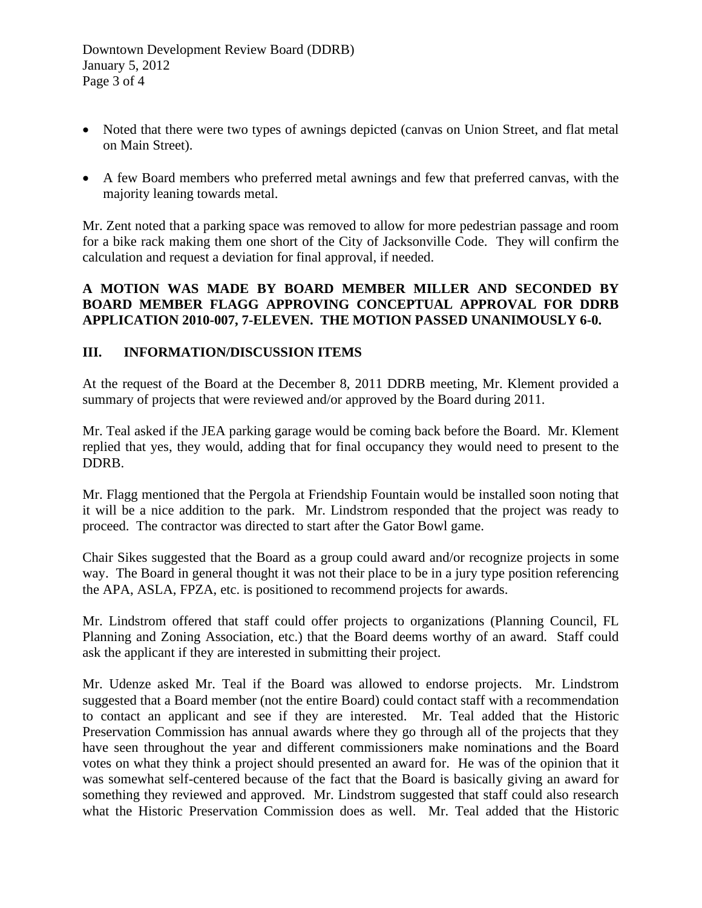- Noted that there were two types of awnings depicted (canvas on Union Street, and flat metal on Main Street).
- A few Board members who preferred metal awnings and few that preferred canvas, with the majority leaning towards metal.

Mr. Zent noted that a parking space was removed to allow for more pedestrian passage and room for a bike rack making them one short of the City of Jacksonville Code. They will confirm the calculation and request a deviation for final approval, if needed.

# **A MOTION WAS MADE BY BOARD MEMBER MILLER AND SECONDED BY BOARD MEMBER FLAGG APPROVING CONCEPTUAL APPROVAL FOR DDRB APPLICATION 2010-007, 7-ELEVEN. THE MOTION PASSED UNANIMOUSLY 6-0.**

# **III. INFORMATION/DISCUSSION ITEMS**

At the request of the Board at the December 8, 2011 DDRB meeting, Mr. Klement provided a summary of projects that were reviewed and/or approved by the Board during 2011.

Mr. Teal asked if the JEA parking garage would be coming back before the Board. Mr. Klement replied that yes, they would, adding that for final occupancy they would need to present to the DDRB.

Mr. Flagg mentioned that the Pergola at Friendship Fountain would be installed soon noting that it will be a nice addition to the park. Mr. Lindstrom responded that the project was ready to proceed. The contractor was directed to start after the Gator Bowl game.

Chair Sikes suggested that the Board as a group could award and/or recognize projects in some way. The Board in general thought it was not their place to be in a jury type position referencing the APA, ASLA, FPZA, etc. is positioned to recommend projects for awards.

Mr. Lindstrom offered that staff could offer projects to organizations (Planning Council, FL Planning and Zoning Association, etc.) that the Board deems worthy of an award. Staff could ask the applicant if they are interested in submitting their project.

Mr. Udenze asked Mr. Teal if the Board was allowed to endorse projects. Mr. Lindstrom suggested that a Board member (not the entire Board) could contact staff with a recommendation to contact an applicant and see if they are interested. Mr. Teal added that the Historic Preservation Commission has annual awards where they go through all of the projects that they have seen throughout the year and different commissioners make nominations and the Board votes on what they think a project should presented an award for. He was of the opinion that it was somewhat self-centered because of the fact that the Board is basically giving an award for something they reviewed and approved. Mr. Lindstrom suggested that staff could also research what the Historic Preservation Commission does as well. Mr. Teal added that the Historic